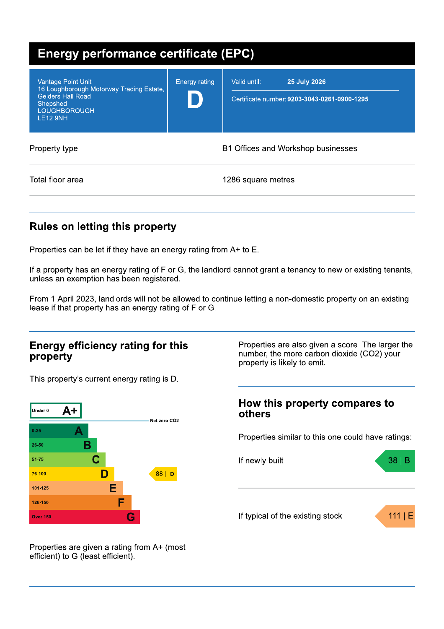| <b>Energy performance certificate (EPC)</b>                                                                                                             |                      |                                                                                     |  |  |
|---------------------------------------------------------------------------------------------------------------------------------------------------------|----------------------|-------------------------------------------------------------------------------------|--|--|
| <b>Vantage Point Unit</b><br>16 Loughborough Motorway Trading Estate,<br><b>Gelders Hall Road</b><br>Shepshed<br><b>LOUGHBOROUGH</b><br><b>LE12 9NH</b> | <b>Energy rating</b> | Valid until:<br><b>25 July 2026</b><br>Certificate number: 9203-3043-0261-0900-1295 |  |  |
| Property type                                                                                                                                           |                      | B1 Offices and Workshop businesses                                                  |  |  |
| Total floor area                                                                                                                                        |                      | 1286 square metres                                                                  |  |  |

## **Rules on letting this property**

Properties can be let if they have an energy rating from A+ to E.

If a property has an energy rating of F or G, the landlord cannot grant a tenancy to new or existing tenants, unless an exemption has been registered.

From 1 April 2023, landlords will not be allowed to continue letting a non-domestic property on an existing lease if that property has an energy rating of F or G.

### **Energy efficiency rating for this** property

This property's current energy rating is D.



Properties are also given a score. The larger the number, the more carbon dioxide (CO2) your property is likely to emit.

### How this property compares to others

Properties similar to this one could have ratings:



Properties are given a rating from A+ (most efficient) to G (least efficient).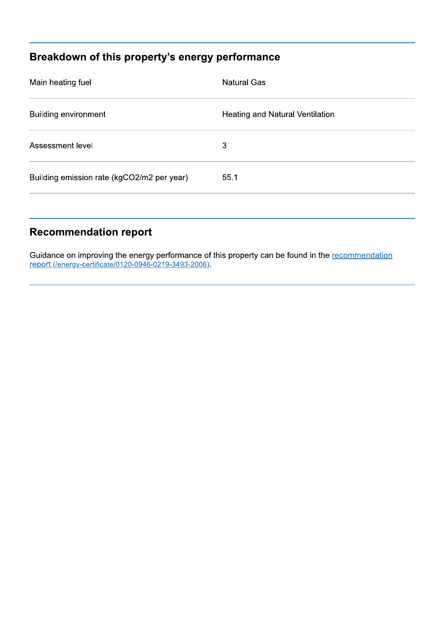# Breakdown of this property's energy performance

| Main heating fuel                          | <b>Natural Gas</b>              |
|--------------------------------------------|---------------------------------|
| <b>Building environment</b>                | Heating and Natural Ventilation |
| Assessment level                           | 3                               |
| Building emission rate (kgCO2/m2 per year) | 55.1                            |
|                                            |                                 |

## **Recommendation report**

Guidance on improving the energy performance of this property can be found in the recommendation report (/energy-certificate/0120-0946-0219-3493-2006).